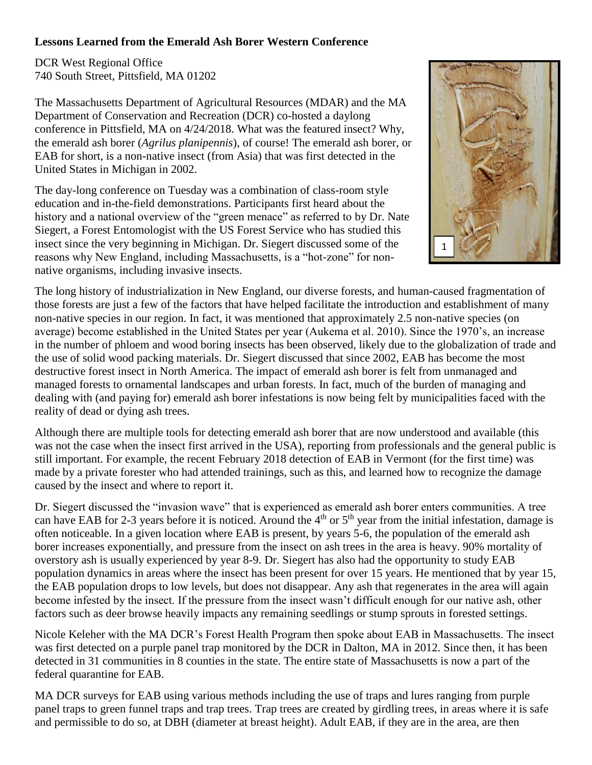## **Lessons Learned from the Emerald Ash Borer Western Conference**

DCR West Regional Office 740 South Street, Pittsfield, MA 01202

The Massachusetts Department of Agricultural Resources (MDAR) and the MA Department of Conservation and Recreation (DCR) co-hosted a daylong conference in Pittsfield, MA on 4/24/2018. What was the featured insect? Why, the emerald ash borer (*Agrilus planipennis*), of course! The emerald ash borer, or EAB for short, is a non-native insect (from Asia) that was first detected in the United States in Michigan in 2002.

The day-long conference on Tuesday was a combination of class-room style education and in-the-field demonstrations. Participants first heard about the history and a national overview of the "green menace" as referred to by Dr. Nate Siegert, a Forest Entomologist with the US Forest Service who has studied this insect since the very beginning in Michigan. Dr. Siegert discussed some of the reasons why New England, including Massachusetts, is a "hot-zone" for nonnative organisms, including invasive insects.



The long history of industrialization in New England, our diverse forests, and human-caused fragmentation of those forests are just a few of the factors that have helped facilitate the introduction and establishment of many non-native species in our region. In fact, it was mentioned that approximately 2.5 non-native species (on average) become established in the United States per year (Aukema et al. 2010). Since the 1970's, an increase in the number of phloem and wood boring insects has been observed, likely due to the globalization of trade and the use of solid wood packing materials. Dr. Siegert discussed that since 2002, EAB has become the most destructive forest insect in North America. The impact of emerald ash borer is felt from unmanaged and managed forests to ornamental landscapes and urban forests. In fact, much of the burden of managing and dealing with (and paying for) emerald ash borer infestations is now being felt by municipalities faced with the reality of dead or dying ash trees.

Although there are multiple tools for detecting emerald ash borer that are now understood and available (this was not the case when the insect first arrived in the USA), reporting from professionals and the general public is still important. For example, the recent February 2018 detection of EAB in Vermont (for the first time) was made by a private forester who had attended trainings, such as this, and learned how to recognize the damage caused by the insect and where to report it.

Dr. Siegert discussed the "invasion wave" that is experienced as emerald ash borer enters communities. A tree can have EAB for 2-3 years before it is noticed. Around the  $4<sup>th</sup>$  or  $5<sup>th</sup>$  year from the initial infestation, damage is often noticeable. In a given location where EAB is present, by years 5-6, the population of the emerald ash borer increases exponentially, and pressure from the insect on ash trees in the area is heavy. 90% mortality of overstory ash is usually experienced by year 8-9. Dr. Siegert has also had the opportunity to study EAB population dynamics in areas where the insect has been present for over 15 years. He mentioned that by year 15, the EAB population drops to low levels, but does not disappear. Any ash that regenerates in the area will again become infested by the insect. If the pressure from the insect wasn't difficult enough for our native ash, other factors such as deer browse heavily impacts any remaining seedlings or stump sprouts in forested settings.

Nicole Keleher with the MA DCR's Forest Health Program then spoke about EAB in Massachusetts. The insect was first detected on a purple panel trap monitored by the DCR in Dalton, MA in 2012. Since then, it has been detected in 31 communities in 8 counties in the state. The entire state of Massachusetts is now a part of the federal quarantine for EAB.

MA DCR surveys for EAB using various methods including the use of traps and lures ranging from purple panel traps to green funnel traps and trap trees. Trap trees are created by girdling trees, in areas where it is safe and permissible to do so, at DBH (diameter at breast height). Adult EAB, if they are in the area, are then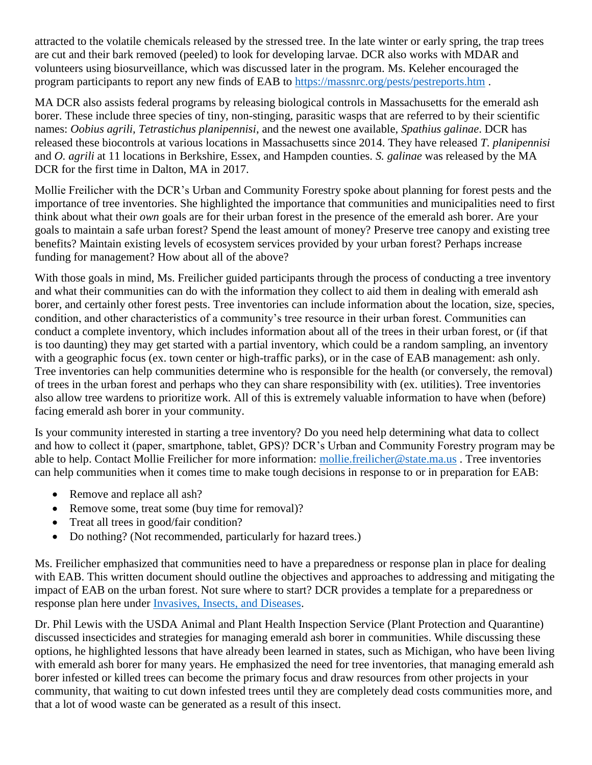attracted to the volatile chemicals released by the stressed tree. In the late winter or early spring, the trap trees are cut and their bark removed (peeled) to look for developing larvae. DCR also works with MDAR and volunteers using biosurveillance, which was discussed later in the program. Ms. Keleher encouraged the program participants to report any new finds of EAB to<https://massnrc.org/pests/pestreports.htm> .

MA DCR also assists federal programs by releasing biological controls in Massachusetts for the emerald ash borer. These include three species of tiny, non-stinging, parasitic wasps that are referred to by their scientific names: *Oobius agrili, Tetrastichus planipennisi*, and the newest one available, *Spathius galinae*. DCR has released these biocontrols at various locations in Massachusetts since 2014. They have released *T. planipennisi* and *O. agrili* at 11 locations in Berkshire, Essex, and Hampden counties. *S. galinae* was released by the MA DCR for the first time in Dalton, MA in 2017.

Mollie Freilicher with the DCR's Urban and Community Forestry spoke about planning for forest pests and the importance of tree inventories. She highlighted the importance that communities and municipalities need to first think about what their *own* goals are for their urban forest in the presence of the emerald ash borer. Are your goals to maintain a safe urban forest? Spend the least amount of money? Preserve tree canopy and existing tree benefits? Maintain existing levels of ecosystem services provided by your urban forest? Perhaps increase funding for management? How about all of the above?

With those goals in mind, Ms. Freilicher guided participants through the process of conducting a tree inventory and what their communities can do with the information they collect to aid them in dealing with emerald ash borer, and certainly other forest pests. Tree inventories can include information about the location, size, species, condition, and other characteristics of a community's tree resource in their urban forest. Communities can conduct a complete inventory, which includes information about all of the trees in their urban forest, or (if that is too daunting) they may get started with a partial inventory, which could be a random sampling, an inventory with a geographic focus (ex. town center or high-traffic parks), or in the case of EAB management: ash only. Tree inventories can help communities determine who is responsible for the health (or conversely, the removal) of trees in the urban forest and perhaps who they can share responsibility with (ex. utilities). Tree inventories also allow tree wardens to prioritize work. All of this is extremely valuable information to have when (before) facing emerald ash borer in your community.

Is your community interested in starting a tree inventory? Do you need help determining what data to collect and how to collect it (paper, smartphone, tablet, GPS)? DCR's Urban and Community Forestry program may be able to help. Contact Mollie Freilicher for more information: [mollie.freilicher@state.ma.us](mailto:mollie.freilicher@state.ma.us) . Tree inventories can help communities when it comes time to make tough decisions in response to or in preparation for EAB:

- Remove and replace all ash?
- Remove some, treat some (buy time for removal)?
- Treat all trees in good/fair condition?
- Do nothing? (Not recommended, particularly for hazard trees.)

Ms. Freilicher emphasized that communities need to have a preparedness or response plan in place for dealing with EAB. This written document should outline the objectives and approaches to addressing and mitigating the impact of EAB on the urban forest. Not sure where to start? DCR provides a template for a preparedness or response plan here under [Invasives, Insects, and Diseases.](http://www.mass.gov/eea/agencies/dcr/conservation/forestry-and-fire-control/picks-and-shovels-urban-and-community-forestry-faqs-resources-fact-sheets.html#InvasivesInsectsandDiseases)

Dr. Phil Lewis with the USDA Animal and Plant Health Inspection Service (Plant Protection and Quarantine) discussed insecticides and strategies for managing emerald ash borer in communities. While discussing these options, he highlighted lessons that have already been learned in states, such as Michigan, who have been living with emerald ash borer for many years. He emphasized the need for tree inventories, that managing emerald ash borer infested or killed trees can become the primary focus and draw resources from other projects in your community, that waiting to cut down infested trees until they are completely dead costs communities more, and that a lot of wood waste can be generated as a result of this insect.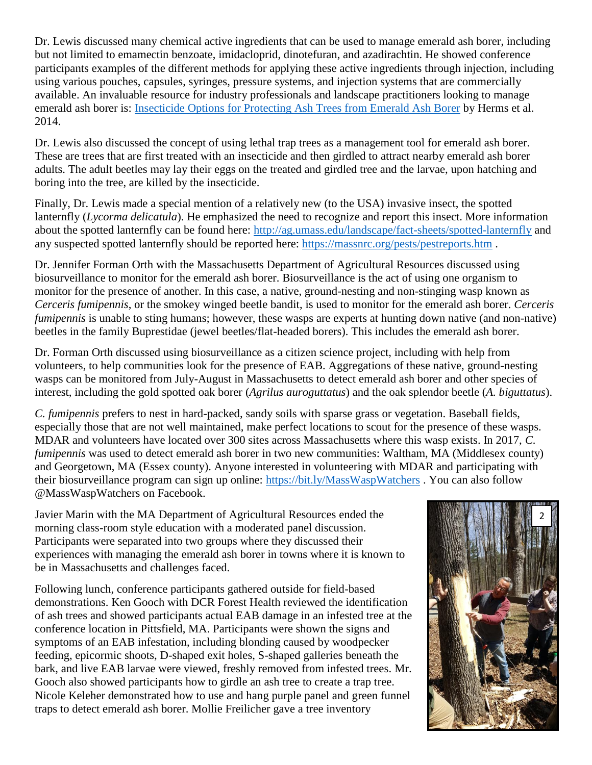Dr. Lewis discussed many chemical active ingredients that can be used to manage emerald ash borer, including but not limited to emamectin benzoate, imidacloprid, dinotefuran, and azadirachtin. He showed conference participants examples of the different methods for applying these active ingredients through injection, including using various pouches, capsules, syringes, pressure systems, and injection systems that are commercially available. An invaluable resource for industry professionals and landscape practitioners looking to manage emerald ash borer is: [Insecticide Options for Protecting Ash Trees from Emerald Ash Borer](http://www.emeraldashborer.info/documents/Multistate_EAB_Insecticide_Fact_Sheet.pdf) by Herms et al. 2014.

Dr. Lewis also discussed the concept of using lethal trap trees as a management tool for emerald ash borer. These are trees that are first treated with an insecticide and then girdled to attract nearby emerald ash borer adults. The adult beetles may lay their eggs on the treated and girdled tree and the larvae, upon hatching and boring into the tree, are killed by the insecticide.

Finally, Dr. Lewis made a special mention of a relatively new (to the USA) invasive insect, the spotted lanternfly (*Lycorma delicatula*). He emphasized the need to recognize and report this insect. More information about the spotted lanternfly can be found here:<http://ag.umass.edu/landscape/fact-sheets/spotted-lanternfly> and any suspected spotted lanternfly should be reported here:<https://massnrc.org/pests/pestreports.htm> .

Dr. Jennifer Forman Orth with the Massachusetts Department of Agricultural Resources discussed using biosurveillance to monitor for the emerald ash borer. Biosurveillance is the act of using one organism to monitor for the presence of another. In this case, a native, ground-nesting and non-stinging wasp known as *Cerceris fumipennis*, or the smokey winged beetle bandit, is used to monitor for the emerald ash borer. *Cerceris fumipennis* is unable to sting humans; however, these wasps are experts at hunting down native (and non-native) beetles in the family Buprestidae (jewel beetles/flat-headed borers). This includes the emerald ash borer.

Dr. Forman Orth discussed using biosurveillance as a citizen science project, including with help from volunteers, to help communities look for the presence of EAB. Aggregations of these native, ground-nesting wasps can be monitored from July-August in Massachusetts to detect emerald ash borer and other species of interest, including the gold spotted oak borer (*Agrilus auroguttatus*) and the oak splendor beetle (*A. biguttatus*).

*C. fumipennis* prefers to nest in hard-packed, sandy soils with sparse grass or vegetation. Baseball fields, especially those that are not well maintained, make perfect locations to scout for the presence of these wasps. MDAR and volunteers have located over 300 sites across Massachusetts where this wasp exists. In 2017, *C. fumipennis* was used to detect emerald ash borer in two new communities: Waltham, MA (Middlesex county) and Georgetown, MA (Essex county). Anyone interested in volunteering with MDAR and participating with their biosurveillance program can sign up online:<https://bit.ly/MassWaspWatchers> . You can also follow @MassWaspWatchers on Facebook.

Javier Marin with the MA Department of Agricultural Resources ended the morning class-room style education with a moderated panel discussion. Participants were separated into two groups where they discussed their experiences with managing the emerald ash borer in towns where it is known to be in Massachusetts and challenges faced.

Following lunch, conference participants gathered outside for field-based demonstrations. Ken Gooch with DCR Forest Health reviewed the identification of ash trees and showed participants actual EAB damage in an infested tree at the conference location in Pittsfield, MA. Participants were shown the signs and symptoms of an EAB infestation, including blonding caused by woodpecker feeding, epicormic shoots, D-shaped exit holes, S-shaped galleries beneath the bark, and live EAB larvae were viewed, freshly removed from infested trees. Mr. Gooch also showed participants how to girdle an ash tree to create a trap tree. Nicole Keleher demonstrated how to use and hang purple panel and green funnel traps to detect emerald ash borer. Mollie Freilicher gave a tree inventory